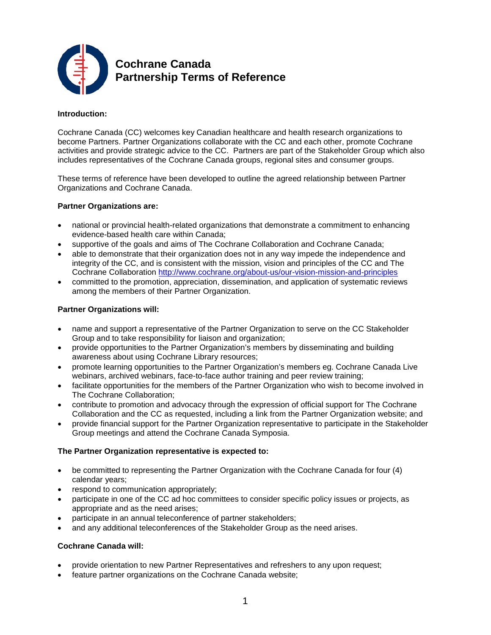

**Cochrane Canada Partnership Terms of Reference**

# **Introduction:**

Cochrane Canada (CC) welcomes key Canadian healthcare and health research organizations to become Partners. Partner Organizations collaborate with the CC and each other, promote Cochrane activities and provide strategic advice to the CC. Partners are part of the Stakeholder Group which also includes representatives of the Cochrane Canada groups, regional sites and consumer groups.

These terms of reference have been developed to outline the agreed relationship between Partner Organizations and Cochrane Canada.

# **Partner Organizations are:**

- national or provincial health-related organizations that demonstrate a commitment to enhancing evidence-based health care within Canada;
- supportive of the goals and aims of The Cochrane Collaboration and Cochrane Canada;
- able to demonstrate that their organization does not in any way impede the independence and integrity of the CC, and is consistent with the mission, vision and principles of the CC and The Cochrane Collaboration <http://www.cochrane.org/about-us/our-vision-mission-and-principles>
- committed to the promotion, appreciation, dissemination, and application of systematic reviews among the members of their Partner Organization.

# **Partner Organizations will:**

- name and support a representative of the Partner Organization to serve on the CC Stakeholder Group and to take responsibility for liaison and organization;
- provide opportunities to the Partner Organization's members by disseminating and building awareness about using Cochrane Library resources;
- promote learning opportunities to the Partner Organization's members eg. Cochrane Canada Live webinars, archived webinars, face-to-face author training and peer review training;
- facilitate opportunities for the members of the Partner Organization who wish to become involved in The Cochrane Collaboration;
- contribute to promotion and advocacy through the expression of official support for The Cochrane Collaboration and the CC as requested, including a link from the Partner Organization website; and
- provide financial support for the Partner Organization representative to participate in the Stakeholder Group meetings and attend the Cochrane Canada Symposia.

### **The Partner Organization representative is expected to:**

- be committed to representing the Partner Organization with the Cochrane Canada for four (4) calendar years;
- respond to communication appropriately;
- participate in one of the CC ad hoc committees to consider specific policy issues or projects, as appropriate and as the need arises;
- participate in an annual teleconference of partner stakeholders;
- and any additional teleconferences of the Stakeholder Group as the need arises.

# **Cochrane Canada will:**

- provide orientation to new Partner Representatives and refreshers to any upon request;
- feature partner organizations on the Cochrane Canada website;